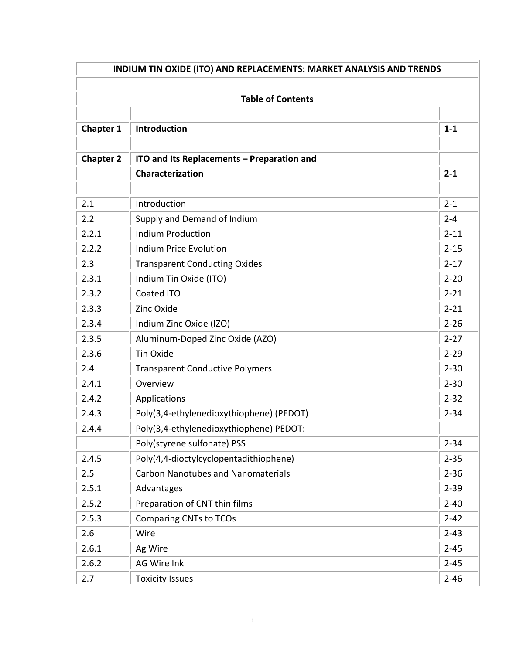| INDIUM TIN OXIDE (ITO) AND REPLACEMENTS: MARKET ANALYSIS AND TRENDS<br><b>Table of Contents</b> |                                            |          |  |  |
|-------------------------------------------------------------------------------------------------|--------------------------------------------|----------|--|--|
|                                                                                                 |                                            |          |  |  |
| <b>Chapter 1</b>                                                                                | Introduction                               | $1 - 1$  |  |  |
| <b>Chapter 2</b>                                                                                | ITO and Its Replacements - Preparation and |          |  |  |
|                                                                                                 | Characterization                           | $2 - 1$  |  |  |
|                                                                                                 |                                            |          |  |  |
| 2.1                                                                                             | Introduction                               | $2 - 1$  |  |  |
| 2.2                                                                                             | Supply and Demand of Indium                | $2 - 4$  |  |  |
| 2.2.1                                                                                           | <b>Indium Production</b>                   | $2 - 11$ |  |  |
| 2.2.2                                                                                           | <b>Indium Price Evolution</b>              | $2 - 15$ |  |  |
| 2.3                                                                                             | <b>Transparent Conducting Oxides</b>       | $2 - 17$ |  |  |
| 2.3.1                                                                                           | Indium Tin Oxide (ITO)                     | $2 - 20$ |  |  |
| 2.3.2                                                                                           | Coated ITO                                 | $2 - 21$ |  |  |
| 2.3.3                                                                                           | Zinc Oxide                                 | $2 - 21$ |  |  |
| 2.3.4                                                                                           | Indium Zinc Oxide (IZO)                    | $2 - 26$ |  |  |
| 2.3.5                                                                                           | Aluminum-Doped Zinc Oxide (AZO)            | $2 - 27$ |  |  |
| 2.3.6                                                                                           | <b>Tin Oxide</b>                           | $2 - 29$ |  |  |
| 2.4                                                                                             | <b>Transparent Conductive Polymers</b>     | $2 - 30$ |  |  |
| 2.4.1                                                                                           | Overview                                   | $2 - 30$ |  |  |
| 2.4.2                                                                                           | Applications                               | $2 - 32$ |  |  |
| 2.4.3                                                                                           | Poly(3,4-ethylenedioxythiophene) (PEDOT)   | $2 - 34$ |  |  |
| 2.4.4                                                                                           | Poly(3,4-ethylenedioxythiophene) PEDOT:    |          |  |  |
|                                                                                                 | Poly(styrene sulfonate) PSS                | $2 - 34$ |  |  |
| 2.4.5                                                                                           | Poly(4,4-dioctylcyclopentadithiophene)     | $2 - 35$ |  |  |
| 2.5                                                                                             | <b>Carbon Nanotubes and Nanomaterials</b>  | $2 - 36$ |  |  |
| 2.5.1                                                                                           | Advantages                                 | $2 - 39$ |  |  |
| 2.5.2                                                                                           | Preparation of CNT thin films              | $2 - 40$ |  |  |
| 2.5.3                                                                                           | <b>Comparing CNTs to TCOs</b>              | $2 - 42$ |  |  |
| 2.6                                                                                             | Wire                                       | $2 - 43$ |  |  |
| 2.6.1                                                                                           | Ag Wire                                    | $2 - 45$ |  |  |
| 2.6.2                                                                                           | AG Wire Ink                                | $2 - 45$ |  |  |
| 2.7                                                                                             | <b>Toxicity Issues</b>                     | $2 - 46$ |  |  |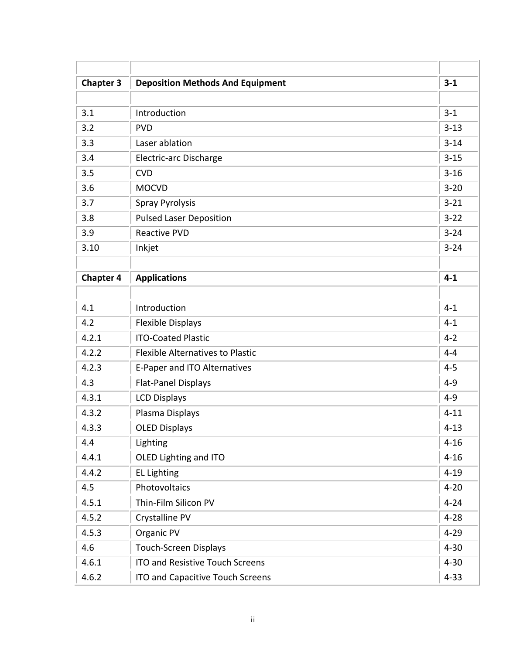| <b>Chapter 3</b> | <b>Deposition Methods And Equipment</b> | $3 - 1$  |
|------------------|-----------------------------------------|----------|
|                  |                                         |          |
| 3.1              | Introduction                            | $3 - 1$  |
| 3.2              | <b>PVD</b>                              | $3 - 13$ |
| 3.3              | Laser ablation                          | $3 - 14$ |
| 3.4              | <b>Electric-arc Discharge</b>           | $3 - 15$ |
| 3.5              | <b>CVD</b>                              | $3 - 16$ |
| 3.6              | <b>MOCVD</b>                            | $3 - 20$ |
| 3.7              | <b>Spray Pyrolysis</b>                  | $3 - 21$ |
| 3.8              | <b>Pulsed Laser Deposition</b>          | $3 - 22$ |
| 3.9              | <b>Reactive PVD</b>                     | $3 - 24$ |
| 3.10             | Inkjet                                  | $3 - 24$ |
|                  |                                         |          |
| <b>Chapter 4</b> | <b>Applications</b>                     | $4 - 1$  |
|                  |                                         |          |
| 4.1              | Introduction                            | $4 - 1$  |
| 4.2              | <b>Flexible Displays</b>                | $4 - 1$  |
| 4.2.1            | <b>ITO-Coated Plastic</b>               | $4 - 2$  |
| 4.2.2            | <b>Flexible Alternatives to Plastic</b> | $4 - 4$  |
| 4.2.3            | E-Paper and ITO Alternatives            | $4 - 5$  |
| 4.3              | <b>Flat-Panel Displays</b>              | $4 - 9$  |
| 4.3.1            | <b>LCD Displays</b>                     | $4 - 9$  |
| 4.3.2            | Plasma Displays                         | $4 - 11$ |
| 4.3.3            | <b>OLED Displays</b>                    | $4 - 13$ |
| 4.4              | Lighting                                | $4 - 16$ |
| 4.4.1            | OLED Lighting and ITO                   | $4 - 16$ |
| 4.4.2            | <b>EL Lighting</b>                      | $4 - 19$ |
| 4.5              | Photovoltaics                           | $4 - 20$ |
| 4.5.1            | Thin-Film Silicon PV                    | $4 - 24$ |
| 4.5.2            | Crystalline PV                          | $4 - 28$ |
| 4.5.3            | Organic PV                              | $4 - 29$ |
| 4.6              | <b>Touch-Screen Displays</b>            | $4 - 30$ |
| 4.6.1            | <b>ITO and Resistive Touch Screens</b>  | $4 - 30$ |
| 4.6.2            | ITO and Capacitive Touch Screens        | $4 - 33$ |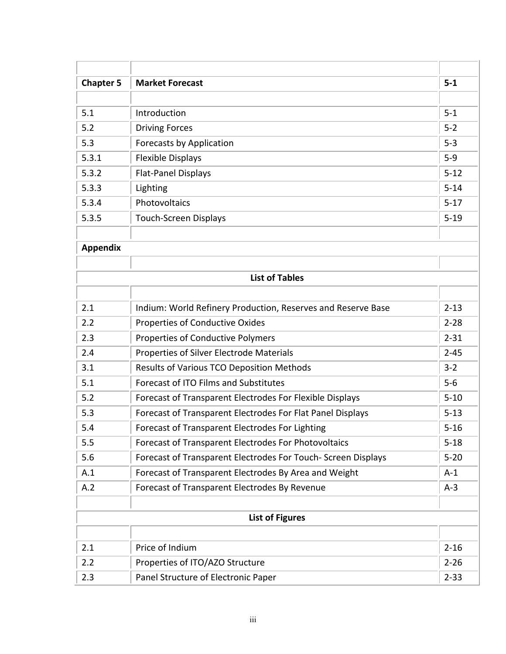| <b>Chapter 5</b> | <b>Market Forecast</b>                                        | $5-1$    |
|------------------|---------------------------------------------------------------|----------|
|                  |                                                               |          |
| 5.1              | Introduction                                                  | $5 - 1$  |
| 5.2              | <b>Driving Forces</b>                                         | $5 - 2$  |
| 5.3              | <b>Forecasts by Application</b>                               | $5 - 3$  |
| 5.3.1            | <b>Flexible Displays</b>                                      | $5-9$    |
| 5.3.2            | <b>Flat-Panel Displays</b>                                    | $5 - 12$ |
| 5.3.3            | Lighting                                                      | $5 - 14$ |
| 5.3.4            | Photovoltaics                                                 | $5 - 17$ |
| 5.3.5            | <b>Touch-Screen Displays</b>                                  | $5 - 19$ |
|                  |                                                               |          |
| <b>Appendix</b>  |                                                               |          |
|                  |                                                               |          |
|                  | <b>List of Tables</b>                                         |          |
|                  |                                                               |          |
| 2.1              | Indium: World Refinery Production, Reserves and Reserve Base  | $2 - 13$ |
| 2.2              | <b>Properties of Conductive Oxides</b>                        | $2 - 28$ |
| 2.3              | <b>Properties of Conductive Polymers</b>                      | $2 - 31$ |
| 2.4              | Properties of Silver Electrode Materials                      | $2 - 45$ |
| 3.1              | Results of Various TCO Deposition Methods                     | $3 - 2$  |
| 5.1              | Forecast of ITO Films and Substitutes                         | $5-6$    |
| 5.2              | Forecast of Transparent Electrodes For Flexible Displays      | $5 - 10$ |
| 5.3              | Forecast of Transparent Electrodes For Flat Panel Displays    | $5 - 13$ |
| 5.4              | Forecast of Transparent Electrodes For Lighting               | $5 - 16$ |
| 5.5              | Forecast of Transparent Electrodes For Photovoltaics          | $5 - 18$ |
| 5.6              | Forecast of Transparent Electrodes For Touch- Screen Displays | $5 - 20$ |
| A.1              | Forecast of Transparent Electrodes By Area and Weight         | $A-1$    |
| A.2              | Forecast of Transparent Electrodes By Revenue                 | $A-3$    |
|                  |                                                               |          |
|                  | <b>List of Figures</b>                                        |          |
|                  |                                                               |          |
| 2.1              | Price of Indium                                               | $2 - 16$ |
| 2.2              | Properties of ITO/AZO Structure                               | $2 - 26$ |
| 2.3              | Panel Structure of Electronic Paper                           | $2 - 33$ |